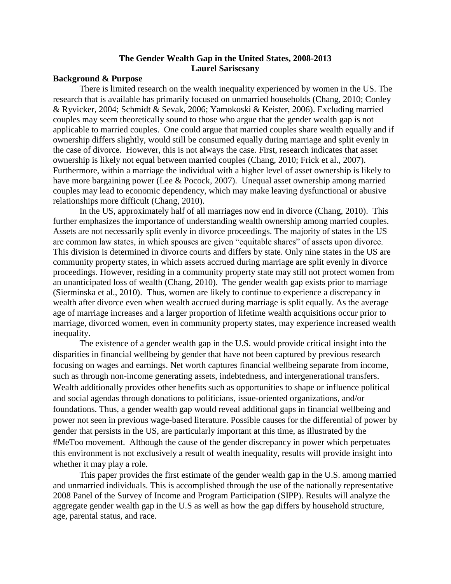# **The Gender Wealth Gap in the United States, 2008-2013 Laurel Sariscsany**

## **Background & Purpose**

There is limited research on the wealth inequality experienced by women in the US. The research that is available has primarily focused on unmarried households (Chang, 2010; Conley & Ryvicker, 2004; Schmidt & Sevak, 2006; Yamokoski & Keister, 2006). Excluding married couples may seem theoretically sound to those who argue that the gender wealth gap is not applicable to married couples. One could argue that married couples share wealth equally and if ownership differs slightly, would still be consumed equally during marriage and split evenly in the case of divorce. However, this is not always the case. First, research indicates that asset ownership is likely not equal between married couples (Chang, 2010; Frick et al., 2007). Furthermore, within a marriage the individual with a higher level of asset ownership is likely to have more bargaining power (Lee & Pocock, 2007). Unequal asset ownership among married couples may lead to economic dependency, which may make leaving dysfunctional or abusive relationships more difficult (Chang, 2010).

In the US, approximately half of all marriages now end in divorce (Chang, 2010). This further emphasizes the importance of understanding wealth ownership among married couples. Assets are not necessarily split evenly in divorce proceedings. The majority of states in the US are common law states, in which spouses are given "equitable shares" of assets upon divorce. This division is determined in divorce courts and differs by state. Only nine states in the US are community property states, in which assets accrued during marriage are split evenly in divorce proceedings. However, residing in a community property state may still not protect women from an unanticipated loss of wealth (Chang, 2010). The gender wealth gap exists prior to marriage (Sierminska et al., 2010). Thus, women are likely to continue to experience a discrepancy in wealth after divorce even when wealth accrued during marriage is split equally. As the average age of marriage increases and a larger proportion of lifetime wealth acquisitions occur prior to marriage, divorced women, even in community property states, may experience increased wealth inequality.

The existence of a gender wealth gap in the U.S. would provide critical insight into the disparities in financial wellbeing by gender that have not been captured by previous research focusing on wages and earnings. Net worth captures financial wellbeing separate from income, such as through non-income generating assets, indebtedness, and intergenerational transfers. Wealth additionally provides other benefits such as opportunities to shape or influence political and social agendas through donations to politicians, issue-oriented organizations, and/or foundations. Thus, a gender wealth gap would reveal additional gaps in financial wellbeing and power not seen in previous wage-based literature. Possible causes for the differential of power by gender that persists in the US, are particularly important at this time, as illustrated by the #MeToo movement. Although the cause of the gender discrepancy in power which perpetuates this environment is not exclusively a result of wealth inequality, results will provide insight into whether it may play a role.

This paper provides the first estimate of the gender wealth gap in the U.S. among married and unmarried individuals. This is accomplished through the use of the nationally representative 2008 Panel of the Survey of Income and Program Participation (SIPP). Results will analyze the aggregate gender wealth gap in the U.S as well as how the gap differs by household structure, age, parental status, and race.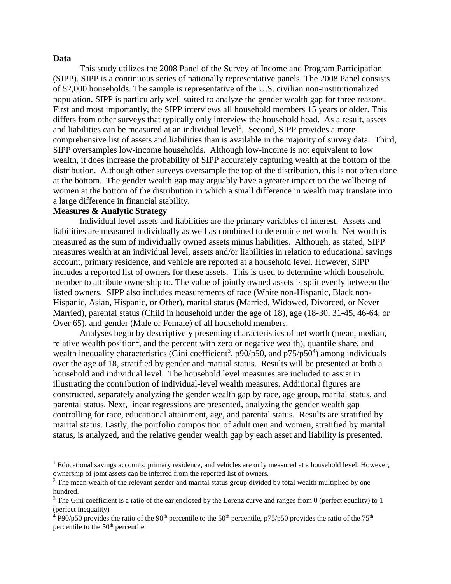#### **Data**

 $\overline{a}$ 

This study utilizes the 2008 Panel of the Survey of Income and Program Participation (SIPP). SIPP is a continuous series of nationally representative panels. The 2008 Panel consists of 52,000 households. The sample is representative of the U.S. civilian non-institutionalized population. SIPP is particularly well suited to analyze the gender wealth gap for three reasons. First and most importantly, the SIPP interviews all household members 15 years or older. This differs from other surveys that typically only interview the household head. As a result, assets and liabilities can be measured at an individual  $level<sup>1</sup>$ . Second, SIPP provides a more comprehensive list of assets and liabilities than is available in the majority of survey data. Third, SIPP oversamples low-income households. Although low-income is not equivalent to low wealth, it does increase the probability of SIPP accurately capturing wealth at the bottom of the distribution. Although other surveys oversample the top of the distribution, this is not often done at the bottom. The gender wealth gap may arguably have a greater impact on the wellbeing of women at the bottom of the distribution in which a small difference in wealth may translate into a large difference in financial stability.

# **Measures & Analytic Strategy**

Individual level assets and liabilities are the primary variables of interest. Assets and liabilities are measured individually as well as combined to determine net worth. Net worth is measured as the sum of individually owned assets minus liabilities. Although, as stated, SIPP measures wealth at an individual level, assets and/or liabilities in relation to educational savings account, primary residence, and vehicle are reported at a household level. However, SIPP includes a reported list of owners for these assets. This is used to determine which household member to attribute ownership to. The value of jointly owned assets is split evenly between the listed owners. SIPP also includes measurements of race (White non-Hispanic, Black non-Hispanic, Asian, Hispanic, or Other), marital status (Married, Widowed, Divorced, or Never Married), parental status (Child in household under the age of 18), age (18-30, 31-45, 46-64, or Over 65), and gender (Male or Female) of all household members.

Analyses begin by descriptively presenting characteristics of net worth (mean, median, relative wealth position<sup>2</sup>, and the percent with zero or negative wealth), quantile share, and wealth inequality characteristics (Gini coefficient<sup>3</sup>, p90/p50, and p75/p50<sup>4</sup>) among individuals over the age of 18, stratified by gender and marital status. Results will be presented at both a household and individual level. The household level measures are included to assist in illustrating the contribution of individual-level wealth measures. Additional figures are constructed, separately analyzing the gender wealth gap by race, age group, marital status, and parental status. Next, linear regressions are presented, analyzing the gender wealth gap controlling for race, educational attainment, age, and parental status. Results are stratified by marital status. Lastly, the portfolio composition of adult men and women, stratified by marital status, is analyzed, and the relative gender wealth gap by each asset and liability is presented.

 $<sup>1</sup>$  Educational savings accounts, primary residence, and vehicles are only measured at a household level. However,</sup> ownership of joint assets can be inferred from the reported list of owners.

<sup>&</sup>lt;sup>2</sup> The mean wealth of the relevant gender and marital status group divided by total wealth multiplied by one hundred.

<sup>&</sup>lt;sup>3</sup> The Gini coefficient is a ratio of the ear enclosed by the Lorenz curve and ranges from 0 (perfect equality) to 1 (perfect inequality)

 $^{4}$  P90/p50 provides the ratio of the 90<sup>th</sup> percentile to the 50<sup>th</sup> percentile, p75/p50 provides the ratio of the 75<sup>th</sup> percentile to the 50<sup>th</sup> percentile.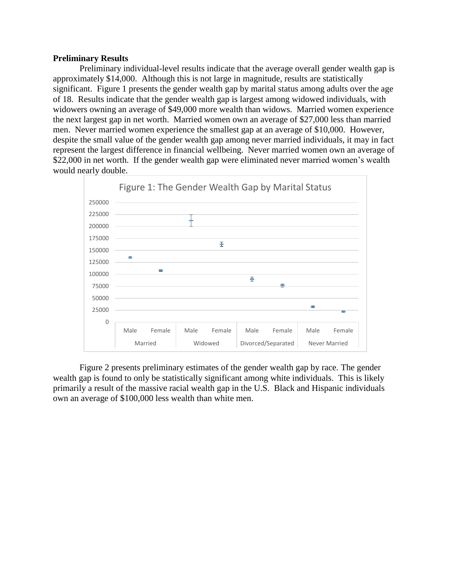### **Preliminary Results**

Preliminary individual-level results indicate that the average overall gender wealth gap is approximately \$14,000. Although this is not large in magnitude, results are statistically significant. Figure 1 presents the gender wealth gap by marital status among adults over the age of 18. Results indicate that the gender wealth gap is largest among widowed individuals, with widowers owning an average of \$49,000 more wealth than widows. Married women experience the next largest gap in net worth. Married women own an average of \$27,000 less than married men. Never married women experience the smallest gap at an average of \$10,000. However, despite the small value of the gender wealth gap among never married individuals, it may in fact represent the largest difference in financial wellbeing. Never married women own an average of \$22,000 in net worth. If the gender wealth gap were eliminated never married women's wealth would nearly double.



Figure 2 presents preliminary estimates of the gender wealth gap by race. The gender wealth gap is found to only be statistically significant among white individuals. This is likely primarily a result of the massive racial wealth gap in the U.S. Black and Hispanic individuals own an average of \$100,000 less wealth than white men.